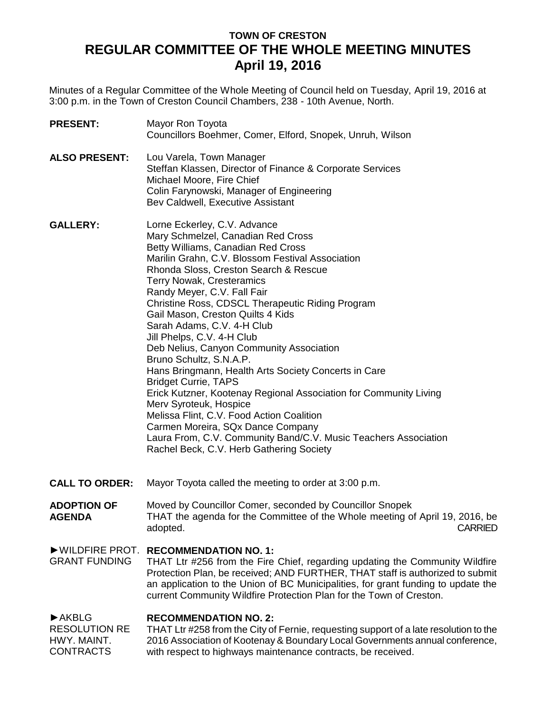# **TOWN OF CRESTON REGULAR COMMITTEE OF THE WHOLE MEETING MINUTES April 19, 2016**

Minutes of a Regular Committee of the Whole Meeting of Council held on Tuesday, April 19, 2016 at 3:00 p.m. in the Town of Creston Council Chambers, 238 - 10th Avenue, North.

| <b>PRESENT:</b>                                                                        | Mayor Ron Toyota<br>Councillors Boehmer, Comer, Elford, Snopek, Unruh, Wilson                                                                                                                                                                                                                                                                                                                                                                                                                                                                                                                                                                                                                                                                                                                                                                                                               |
|----------------------------------------------------------------------------------------|---------------------------------------------------------------------------------------------------------------------------------------------------------------------------------------------------------------------------------------------------------------------------------------------------------------------------------------------------------------------------------------------------------------------------------------------------------------------------------------------------------------------------------------------------------------------------------------------------------------------------------------------------------------------------------------------------------------------------------------------------------------------------------------------------------------------------------------------------------------------------------------------|
| <b>ALSO PRESENT:</b>                                                                   | Lou Varela, Town Manager<br>Steffan Klassen, Director of Finance & Corporate Services<br>Michael Moore, Fire Chief<br>Colin Farynowski, Manager of Engineering<br>Bev Caldwell, Executive Assistant                                                                                                                                                                                                                                                                                                                                                                                                                                                                                                                                                                                                                                                                                         |
| <b>GALLERY:</b>                                                                        | Lorne Eckerley, C.V. Advance<br>Mary Schmelzel, Canadian Red Cross<br>Betty Williams, Canadian Red Cross<br>Marilin Grahn, C.V. Blossom Festival Association<br>Rhonda Sloss, Creston Search & Rescue<br><b>Terry Nowak, Cresteramics</b><br>Randy Meyer, C.V. Fall Fair<br>Christine Ross, CDSCL Therapeutic Riding Program<br>Gail Mason, Creston Quilts 4 Kids<br>Sarah Adams, C.V. 4-H Club<br>Jill Phelps, C.V. 4-H Club<br>Deb Nelius, Canyon Community Association<br>Bruno Schultz, S.N.A.P.<br>Hans Bringmann, Health Arts Society Concerts in Care<br><b>Bridget Currie, TAPS</b><br>Erick Kutzner, Kootenay Regional Association for Community Living<br>Merv Syroteuk, Hospice<br>Melissa Flint, C.V. Food Action Coalition<br>Carmen Moreira, SQx Dance Company<br>Laura From, C.V. Community Band/C.V. Music Teachers Association<br>Rachel Beck, C.V. Herb Gathering Society |
| <b>CALL TO ORDER:</b>                                                                  | Mayor Toyota called the meeting to order at 3:00 p.m.                                                                                                                                                                                                                                                                                                                                                                                                                                                                                                                                                                                                                                                                                                                                                                                                                                       |
| <b>ADOPTION OF</b><br><b>AGENDA</b>                                                    | Moved by Councillor Comer, seconded by Councillor Snopek<br>THAT the agenda for the Committee of the Whole meeting of April 19, 2016, be<br><b>CARRIED</b><br>adopted.                                                                                                                                                                                                                                                                                                                                                                                                                                                                                                                                                                                                                                                                                                                      |
| WILDFIRE PROT.<br><b>GRANT FUNDING</b>                                                 | <b>RECOMMENDATION NO. 1:</b><br>THAT Ltr #256 from the Fire Chief, regarding updating the Community Wildfire<br>Protection Plan, be received; AND FURTHER, THAT staff is authorized to submit<br>an application to the Union of BC Municipalities, for grant funding to update the<br>current Community Wildfire Protection Plan for the Town of Creston.                                                                                                                                                                                                                                                                                                                                                                                                                                                                                                                                   |
| $\blacktriangleright$ AKBLG<br><b>RESOLUTION RE</b><br>HWY. MAINT.<br><b>CONTRACTS</b> | <b>RECOMMENDATION NO. 2:</b><br>THAT Ltr #258 from the City of Fernie, requesting support of a late resolution to the<br>2016 Association of Kootenay & Boundary Local Governments annual conference,<br>with respect to highways maintenance contracts, be received.                                                                                                                                                                                                                                                                                                                                                                                                                                                                                                                                                                                                                       |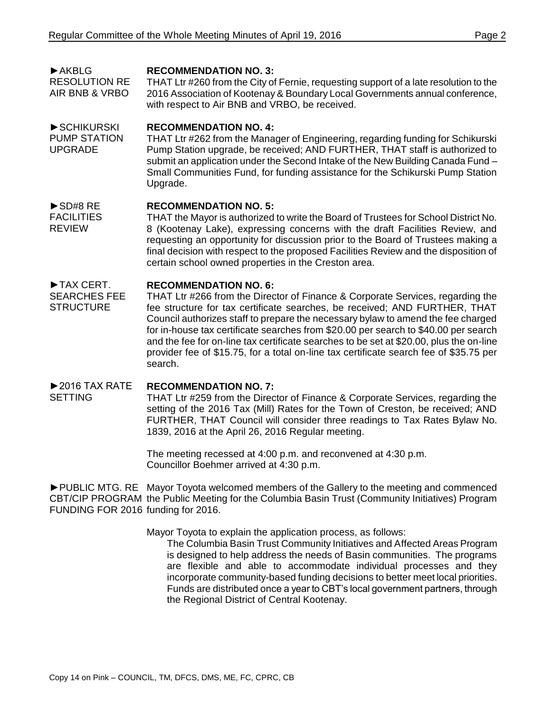►AKBLG RESOLUTION RE AIR BNB & VRBO **RECOMMENDATION NO. 3:** THAT Ltr #260 from the City of Fernie, requesting support of a late resolution to the 2016 Association of Kootenay & Boundary Local Governments annual conference, with respect to Air BNB and VRBO, be received.

#### ►SCHIKURSKI **RECOMMENDATION NO. 4:**

PUMP STATION UPGRADE THAT Ltr #262 from the Manager of Engineering, regarding funding for Schikurski Pump Station upgrade, be received; AND FURTHER, THAT staff is authorized to submit an application under the Second Intake of the New Building Canada Fund – Small Communities Fund, for funding assistance for the Schikurski Pump Station Upgrade.

#### ►SD#8 RE **RECOMMENDATION NO. 5:**

**FACILITIES** REVIEW THAT the Mayor is authorized to write the Board of Trustees for School District No. 8 (Kootenay Lake), expressing concerns with the draft Facilities Review, and requesting an opportunity for discussion prior to the Board of Trustees making a final decision with respect to the proposed Facilities Review and the disposition of certain school owned properties in the Creston area.

#### ►TAX CERT. **RECOMMENDATION NO. 6:**

SEARCHES FEE **STRUCTURE** THAT Ltr #266 from the Director of Finance & Corporate Services, regarding the fee structure for tax certificate searches, be received; AND FURTHER, THAT Council authorizes staff to prepare the necessary bylaw to amend the fee charged for in-house tax certificate searches from \$20.00 per search to \$40.00 per search and the fee for on-line tax certificate searches to be set at \$20.00, plus the on-line provider fee of \$15.75, for a total on-line tax certificate search fee of \$35.75 per search.

#### $\blacktriangleright$  2016 TAX RATE **RECOMMENDATION NO. 7:**

SETTING

THAT Ltr #259 from the Director of Finance & Corporate Services, regarding the setting of the 2016 Tax (Mill) Rates for the Town of Creston, be received; AND FURTHER, THAT Council will consider three readings to Tax Rates Bylaw No. 1839, 2016 at the April 26, 2016 Regular meeting.

The meeting recessed at 4:00 p.m. and reconvened at 4:30 p.m. Councillor Boehmer arrived at 4:30 p.m.

►PUBLIC MTG. RE Mayor Toyota welcomed members of the Gallery to the meeting and commenced CBT/CIP PROGRAM the Public Meeting for the Columbia Basin Trust (Community Initiatives) Program FUNDING FOR 2016 funding for 2016.

Mayor Toyota to explain the application process, as follows:

The Columbia Basin Trust Community Initiatives and Affected Areas Program is designed to help address the needs of Basin communities. The programs are flexible and able to accommodate individual processes and they incorporate community-based funding decisions to better meet local priorities. Funds are distributed once a year to CBT's local government partners, through the Regional District of Central Kootenay.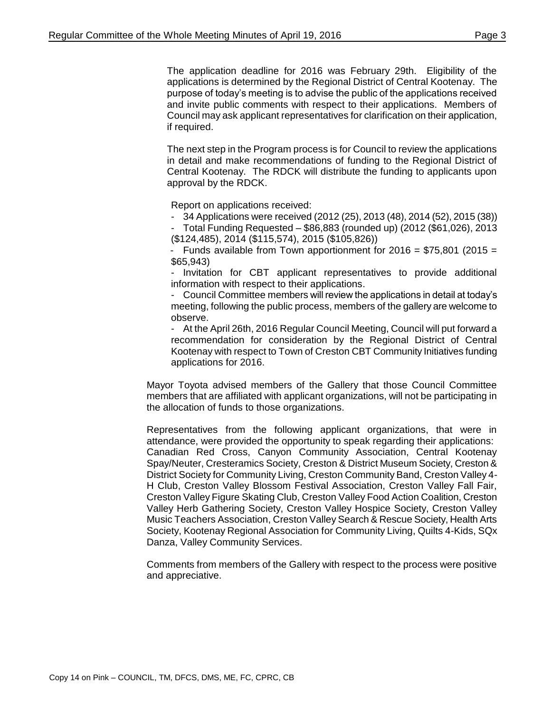The application deadline for 2016 was February 29th. Eligibility of the applications is determined by the Regional District of Central Kootenay. The purpose of today's meeting is to advise the public of the applications received and invite public comments with respect to their applications. Members of Council may ask applicant representatives for clarification on their application, if required.

The next step in the Program process is for Council to review the applications in detail and make recommendations of funding to the Regional District of Central Kootenay. The RDCK will distribute the funding to applicants upon approval by the RDCK.

Report on applications received:

- 34 Applications were received (2012 (25), 2013 (48), 2014 (52), 2015 (38))

- Total Funding Requested – \$86,883 (rounded up) (2012 (\$61,026), 2013 (\$124,485), 2014 (\$115,574), 2015 (\$105,826))

- Funds available from Town apportionment for  $2016 = $75,801$  (2015 = \$65,943)

- Invitation for CBT applicant representatives to provide additional information with respect to their applications.

- Council Committee members will review the applications in detail at today's meeting, following the public process, members of the gallery are welcome to observe.

- At the April 26th, 2016 Regular Council Meeting, Council will put forward a recommendation for consideration by the Regional District of Central Kootenay with respect to Town of Creston CBT Community Initiatives funding applications for 2016.

Mayor Toyota advised members of the Gallery that those Council Committee members that are affiliated with applicant organizations, will not be participating in the allocation of funds to those organizations.

Representatives from the following applicant organizations, that were in attendance, were provided the opportunity to speak regarding their applications: Canadian Red Cross, Canyon Community Association, Central Kootenay Spay/Neuter, Cresteramics Society, Creston & District Museum Society, Creston & District Society for Community Living, Creston Community Band, Creston Valley 4- H Club, Creston Valley Blossom Festival Association, Creston Valley Fall Fair, Creston Valley Figure Skating Club, Creston Valley Food Action Coalition, Creston Valley Herb Gathering Society, Creston Valley Hospice Society, Creston Valley Music Teachers Association, Creston Valley Search & Rescue Society, Health Arts Society, Kootenay Regional Association for Community Living, Quilts 4-Kids, SQx Danza, Valley Community Services.

Comments from members of the Gallery with respect to the process were positive and appreciative.